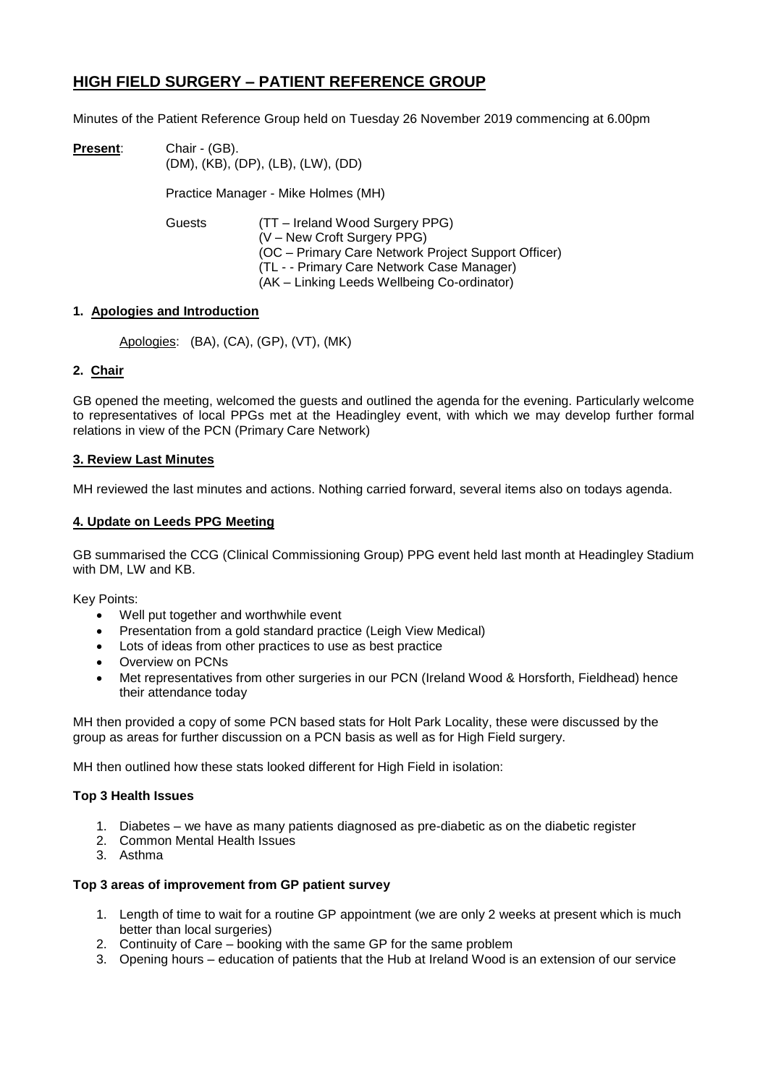## **HIGH FIELD SURGERY – PATIENT REFERENCE GROUP**

Minutes of the Patient Reference Group held on Tuesday 26 November 2019 commencing at 6.00pm

**Present**: Chair - (GB). (DM), (KB), (DP), (LB), (LW), (DD)

Practice Manager - Mike Holmes (MH)

| Guests | (TT – Ireland Wood Surgery PPG)                     |
|--------|-----------------------------------------------------|
|        | (V – New Croft Surgery PPG)                         |
|        | (OC – Primary Care Network Project Support Officer) |
|        | (TL - - Primary Care Network Case Manager)          |
|        | (AK – Linking Leeds Wellbeing Co-ordinator)         |

#### **1. Apologies and Introduction**

Apologies: (BA), (CA), (GP), (VT), (MK)

#### **2. Chair**

GB opened the meeting, welcomed the guests and outlined the agenda for the evening. Particularly welcome to representatives of local PPGs met at the Headingley event, with which we may develop further formal relations in view of the PCN (Primary Care Network)

#### **3. Review Last Minutes**

MH reviewed the last minutes and actions. Nothing carried forward, several items also on todays agenda.

#### **4. Update on Leeds PPG Meeting**

GB summarised the CCG (Clinical Commissioning Group) PPG event held last month at Headingley Stadium with DM, LW and KB.

Key Points:

- Well put together and worthwhile event
- Presentation from a gold standard practice (Leigh View Medical)
- Lots of ideas from other practices to use as best practice
- Overview on PCNs
- Met representatives from other surgeries in our PCN (Ireland Wood & Horsforth, Fieldhead) hence their attendance today

MH then provided a copy of some PCN based stats for Holt Park Locality, these were discussed by the group as areas for further discussion on a PCN basis as well as for High Field surgery.

MH then outlined how these stats looked different for High Field in isolation:

#### **Top 3 Health Issues**

- 1. Diabetes we have as many patients diagnosed as pre-diabetic as on the diabetic register
- 2. Common Mental Health Issues
- 3. Asthma

#### **Top 3 areas of improvement from GP patient survey**

- 1. Length of time to wait for a routine GP appointment (we are only 2 weeks at present which is much better than local surgeries)
- 2. Continuity of Care booking with the same GP for the same problem
- 3. Opening hours education of patients that the Hub at Ireland Wood is an extension of our service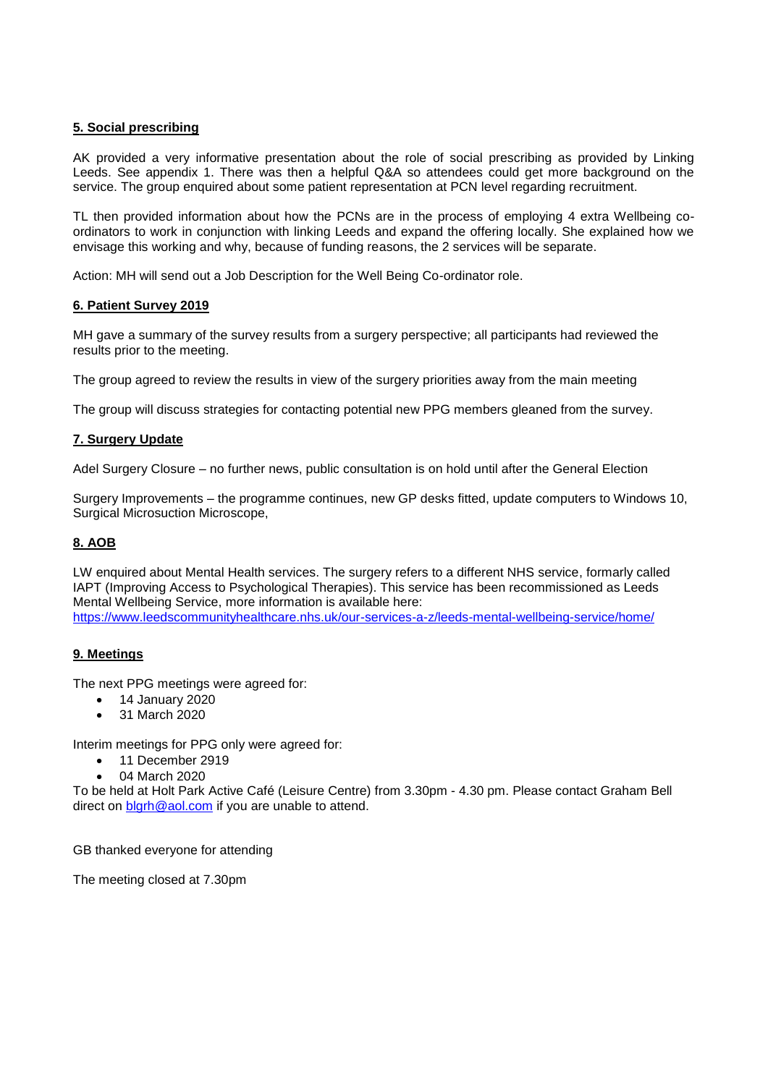#### **5. Social prescribing**

AK provided a very informative presentation about the role of social prescribing as provided by Linking Leeds. See appendix 1. There was then a helpful Q&A so attendees could get more background on the service. The group enquired about some patient representation at PCN level regarding recruitment.

TL then provided information about how the PCNs are in the process of employing 4 extra Wellbeing coordinators to work in conjunction with linking Leeds and expand the offering locally. She explained how we envisage this working and why, because of funding reasons, the 2 services will be separate.

Action: MH will send out a Job Description for the Well Being Co-ordinator role.

#### **6. Patient Survey 2019**

MH gave a summary of the survey results from a surgery perspective; all participants had reviewed the results prior to the meeting.

The group agreed to review the results in view of the surgery priorities away from the main meeting

The group will discuss strategies for contacting potential new PPG members gleaned from the survey.

#### **7. Surgery Update**

Adel Surgery Closure – no further news, public consultation is on hold until after the General Election

Surgery Improvements – the programme continues, new GP desks fitted, update computers to Windows 10, Surgical Microsuction Microscope,

#### **8. AOB**

LW enquired about Mental Health services. The surgery refers to a different NHS service, formarly called IAPT (Improving Access to Psychological Therapies). This service has been recommissioned as Leeds Mental Wellbeing Service, more information is available here: <https://www.leedscommunityhealthcare.nhs.uk/our-services-a-z/leeds-mental-wellbeing-service/home/>

#### **9. Meetings**

The next PPG meetings were agreed for:

- 14 January 2020
- 31 March 2020

Interim meetings for PPG only were agreed for:

- 11 December 2919
- 04 March 2020

To be held at Holt Park Active Café (Leisure Centre) from 3.30pm - 4.30 pm. Please contact Graham Bell direct on [blgrh@aol.com](mailto:blgrh@aol.com) if you are unable to attend.

GB thanked everyone for attending

The meeting closed at 7.30pm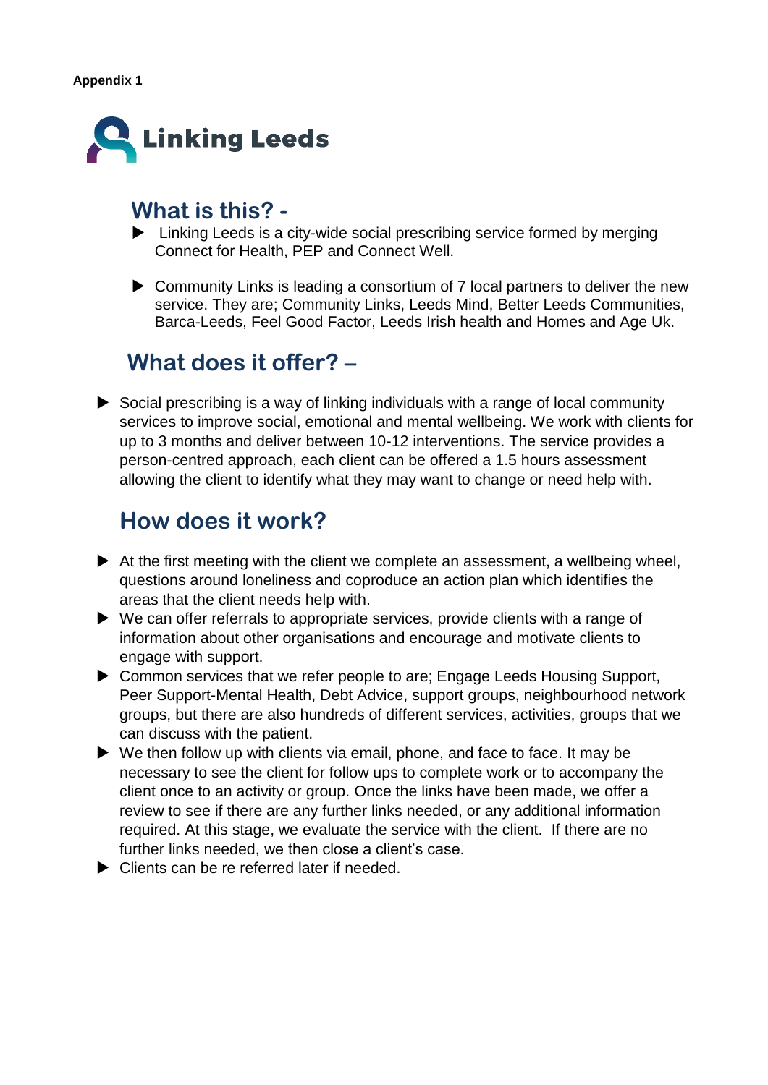

## **What is this? -**

- ▶ Linking Leeds is a city-wide social prescribing service formed by merging Connect for Health, PEP and Connect Well.
- Community Links is leading a consortium of 7 local partners to deliver the new service. They are; Community Links, Leeds Mind, Better Leeds Communities, Barca-Leeds, Feel Good Factor, Leeds Irish health and Homes and Age Uk.

## **What does it offer? –**

▶ Social prescribing is a way of linking individuals with a range of local community services to improve social, emotional and mental wellbeing. We work with clients for up to 3 months and deliver between 10-12 interventions. The service provides a person-centred approach, each client can be offered a 1.5 hours assessment allowing the client to identify what they may want to change or need help with.

## **How does it work?**

- $\blacktriangleright$  At the first meeting with the client we complete an assessment, a wellbeing wheel, questions around loneliness and coproduce an action plan which identifies the areas that the client needs help with.
- ▶ We can offer referrals to appropriate services, provide clients with a range of information about other organisations and encourage and motivate clients to engage with support.
- ▶ Common services that we refer people to are; Engage Leeds Housing Support, Peer Support-Mental Health, Debt Advice, support groups, neighbourhood network groups, but there are also hundreds of different services, activities, groups that we can discuss with the patient.
- $\blacktriangleright$  We then follow up with clients via email, phone, and face to face. It may be necessary to see the client for follow ups to complete work or to accompany the client once to an activity or group. Once the links have been made, we offer a review to see if there are any further links needed, or any additional information required. At this stage, we evaluate the service with the client. If there are no further links needed, we then close a client's case.
- ▶ Clients can be re referred later if needed.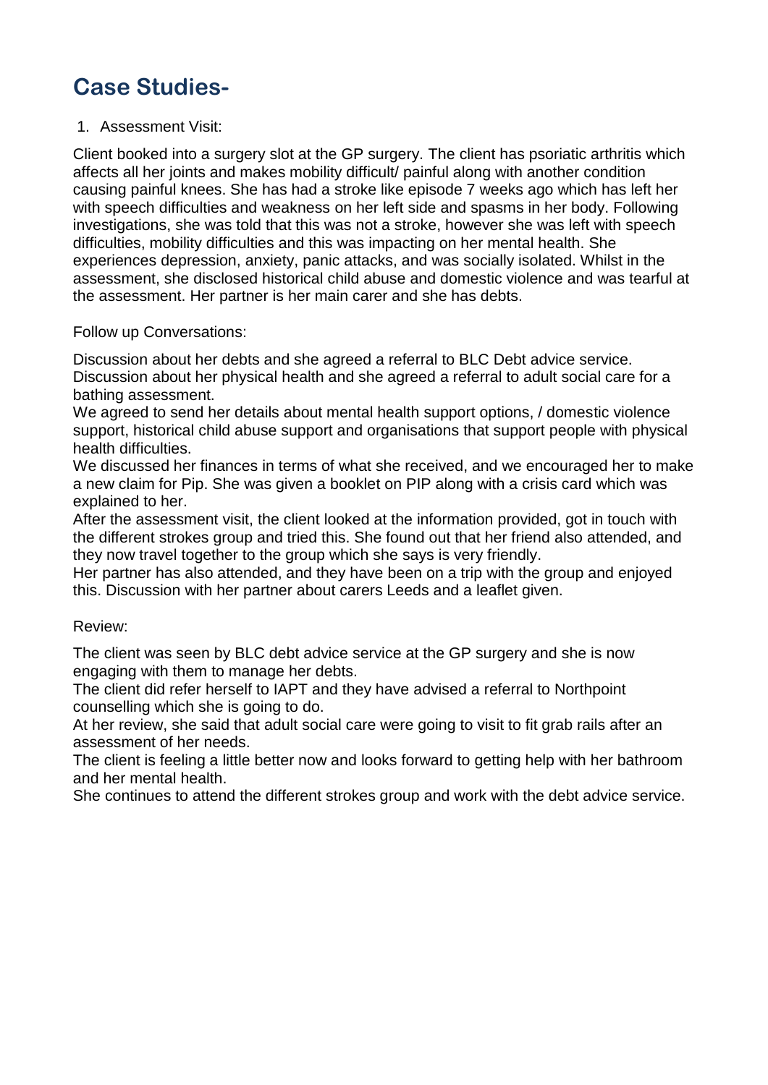# **Case Studies-**

## 1. Assessment Visit:

Client booked into a surgery slot at the GP surgery. The client has psoriatic arthritis which affects all her joints and makes mobility difficult/ painful along with another condition causing painful knees. She has had a stroke like episode 7 weeks ago which has left her with speech difficulties and weakness on her left side and spasms in her body. Following investigations, she was told that this was not a stroke, however she was left with speech difficulties, mobility difficulties and this was impacting on her mental health. She experiences depression, anxiety, panic attacks, and was socially isolated. Whilst in the assessment, she disclosed historical child abuse and domestic violence and was tearful at the assessment. Her partner is her main carer and she has debts.

Follow up Conversations:

Discussion about her debts and she agreed a referral to BLC Debt advice service. Discussion about her physical health and she agreed a referral to adult social care for a bathing assessment.

We agreed to send her details about mental health support options, / domestic violence support, historical child abuse support and organisations that support people with physical health difficulties.

We discussed her finances in terms of what she received, and we encouraged her to make a new claim for Pip. She was given a booklet on PIP along with a crisis card which was explained to her.

After the assessment visit, the client looked at the information provided, got in touch with the different strokes group and tried this. She found out that her friend also attended, and they now travel together to the group which she says is very friendly.

Her partner has also attended, and they have been on a trip with the group and enjoyed this. Discussion with her partner about carers Leeds and a leaflet given.

### Review:

The client was seen by BLC debt advice service at the GP surgery and she is now engaging with them to manage her debts.

The client did refer herself to IAPT and they have advised a referral to Northpoint counselling which she is going to do.

At her review, she said that adult social care were going to visit to fit grab rails after an assessment of her needs.

The client is feeling a little better now and looks forward to getting help with her bathroom and her mental health.

She continues to attend the different strokes group and work with the debt advice service.